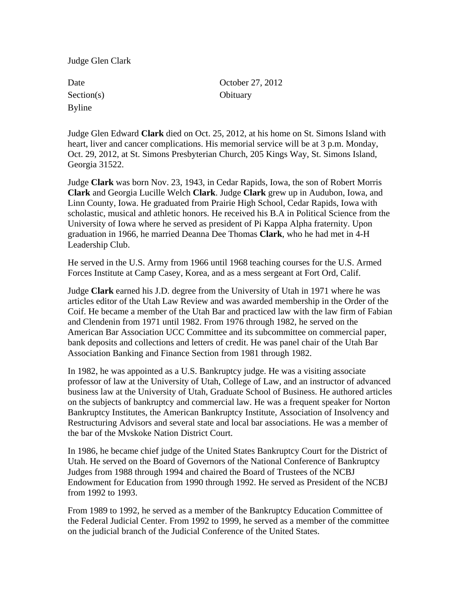Judge Glen Clark

| Date          |
|---------------|
| Section(s)    |
| <b>Byline</b> |

October 27, 2012 Obituary

Judge Glen Edward **Clark** died on Oct. 25, 2012, at his home on St. Simons Island with heart, liver and cancer complications. His memorial service will be at 3 p.m. Monday, Oct. 29, 2012, at St. Simons Presbyterian Church, 205 Kings Way, St. Simons Island, Georgia 31522.

Judge **Clark** was born Nov. 23, 1943, in Cedar Rapids, Iowa, the son of Robert Morris **Clark** and Georgia Lucille Welch **Clark**. Judge **Clark** grew up in Audubon, Iowa, and Linn County, Iowa. He graduated from Prairie High School, Cedar Rapids, Iowa with scholastic, musical and athletic honors. He received his B.A in Political Science from the University of Iowa where he served as president of Pi Kappa Alpha fraternity. Upon graduation in 1966, he married Deanna Dee Thomas **Clark**, who he had met in 4-H Leadership Club.

He served in the U.S. Army from 1966 until 1968 teaching courses for the U.S. Armed Forces Institute at Camp Casey, Korea, and as a mess sergeant at Fort Ord, Calif.

Judge **Clark** earned his J.D. degree from the University of Utah in 1971 where he was articles editor of the Utah Law Review and was awarded membership in the Order of the Coif. He became a member of the Utah Bar and practiced law with the law firm of Fabian and Clendenin from 1971 until 1982. From 1976 through 1982, he served on the American Bar Association UCC Committee and its subcommittee on commercial paper, bank deposits and collections and letters of credit. He was panel chair of the Utah Bar Association Banking and Finance Section from 1981 through 1982.

In 1982, he was appointed as a U.S. Bankruptcy judge. He was a visiting associate professor of law at the University of Utah, College of Law, and an instructor of advanced business law at the University of Utah, Graduate School of Business. He authored articles on the subjects of bankruptcy and commercial law. He was a frequent speaker for Norton Bankruptcy Institutes, the American Bankruptcy Institute, Association of Insolvency and Restructuring Advisors and several state and local bar associations. He was a member of the bar of the Mvskoke Nation District Court.

In 1986, he became chief judge of the United States Bankruptcy Court for the District of Utah. He served on the Board of Governors of the National Conference of Bankruptcy Judges from 1988 through 1994 and chaired the Board of Trustees of the NCBJ Endowment for Education from 1990 through 1992. He served as President of the NCBJ from 1992 to 1993.

From 1989 to 1992, he served as a member of the Bankruptcy Education Committee of the Federal Judicial Center. From 1992 to 1999, he served as a member of the committee on the judicial branch of the Judicial Conference of the United States.